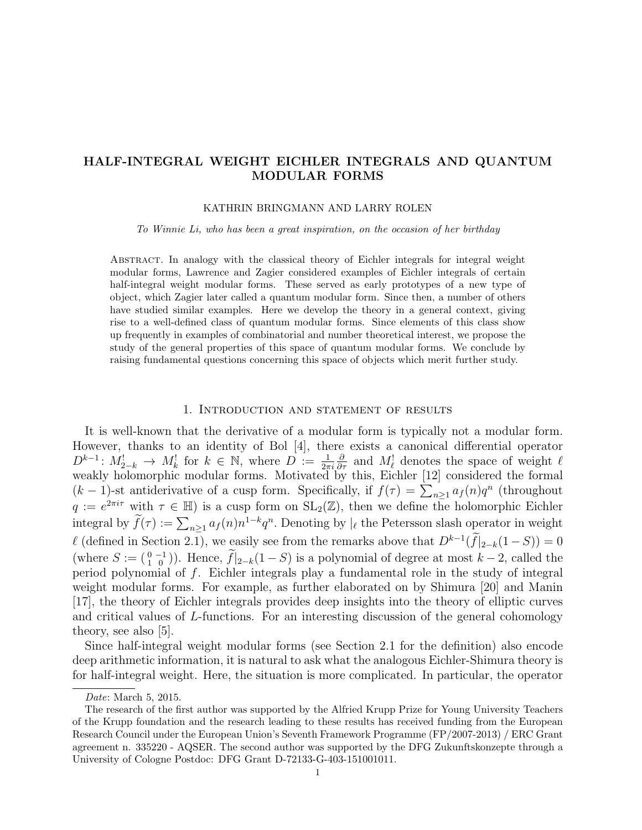# HALF-INTEGRAL WEIGHT EICHLER INTEGRALS AND QUANTUM MODULAR FORMS

#### KATHRIN BRINGMANN AND LARRY ROLEN

To Winnie Li, who has been a great inspiration, on the occasion of her birthday

Abstract. In analogy with the classical theory of Eichler integrals for integral weight modular forms, Lawrence and Zagier considered examples of Eichler integrals of certain half-integral weight modular forms. These served as early prototypes of a new type of object, which Zagier later called a quantum modular form. Since then, a number of others have studied similar examples. Here we develop the theory in a general context, giving rise to a well-defined class of quantum modular forms. Since elements of this class show up frequently in examples of combinatorial and number theoretical interest, we propose the study of the general properties of this space of quantum modular forms. We conclude by raising fundamental questions concerning this space of objects which merit further study.

### 1. Introduction and statement of results

It is well-known that the derivative of a modular form is typically not a modular form. However, thanks to an identity of Bol [4], there exists a canonical differential operator  $D^{k-1}: M^!_{2-k} \to M^!_k$  for  $k \in \mathbb{N}$ , where  $D := \frac{1}{2\pi i}$  $\frac{\partial}{\partial \tau}$  and  $M_{\ell}^!$  denotes the space of weight  $\ell$ weakly holomorphic modular forms. Motivated by this, Eichler [12] considered the formal  $(k-1)$ -st antiderivative of a cusp form. Specifically, if  $f(\tau) = \sum_{n\geq 1} a_f(n)q^n$  (throughout  $q := e^{2\pi i \tau}$  with  $\tau \in \mathbb{H}$ ) is a cusp form on  $SL_2(\mathbb{Z})$ , then we define the holomorphic Eichler integral by  $\tilde{f}(\tau) := \sum_{n \geq 1} a_f(n) n^{1-k} q^n$ . Denoting by  $|_{\ell}$  the Petersson slash operator in weight  $\ell$  (defined in Section 2.1), we easily see from the remarks above that  $D^{k-1}(\tilde{f}|_{2-k}(1-S)) = 0$ (where  $S := \begin{pmatrix} 0 & -1 \\ 1 & 0 \end{pmatrix}$ ). Hence,  $f|_{2-k}(1-S)$  is a polynomial of degree at most  $k-2$ , called the period polynomial of f. Eichler integrals play a fundamental role in the study of integral weight modular forms. For example, as further elaborated on by Shimura [20] and Manin [17], the theory of Eichler integrals provides deep insights into the theory of elliptic curves and critical values of L-functions. For an interesting discussion of the general cohomology theory, see also [5].

Since half-integral weight modular forms (see Section 2.1 for the definition) also encode deep arithmetic information, it is natural to ask what the analogous Eichler-Shimura theory is for half-integral weight. Here, the situation is more complicated. In particular, the operator

Date: March 5, 2015.

The research of the first author was supported by the Alfried Krupp Prize for Young University Teachers of the Krupp foundation and the research leading to these results has received funding from the European Research Council under the European Union's Seventh Framework Programme (FP/2007-2013) / ERC Grant agreement n. 335220 - AQSER. The second author was supported by the DFG Zukunftskonzepte through a University of Cologne Postdoc: DFG Grant D-72133-G-403-151001011.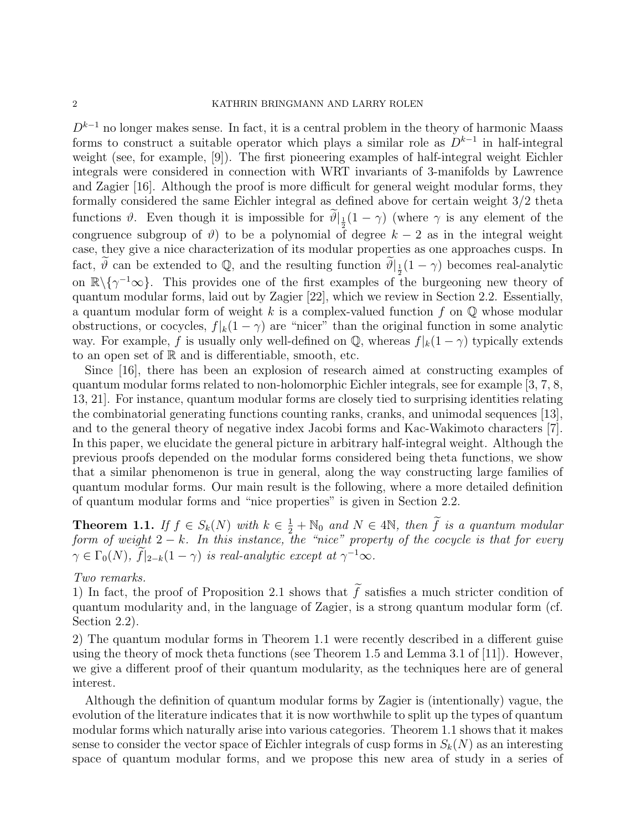$D^{k-1}$  no longer makes sense. In fact, it is a central problem in the theory of harmonic Maass forms to construct a suitable operator which plays a similar role as  $D^{k-1}$  in half-integral weight (see, for example, [9]). The first pioneering examples of half-integral weight Eichler integrals were considered in connection with WRT invariants of 3-manifolds by Lawrence and Zagier [16]. Although the proof is more difficult for general weight modular forms, they formally considered the same Eichler integral as defined above for certain weight 3/2 theta functions  $\vartheta$ . Even though it is impossible for  $\vartheta|_{\frac{1}{2}}(1-\gamma)$  (where  $\gamma$  is any element of the congruence subgroup of  $\vartheta$ ) to be a polynomial of degree  $k-2$  as in the integral weight case, they give a nice characterization of its modular properties as one approaches cusps. In fact,  $\widetilde{\theta}$  can be extended to Q, and the resulting function  $\widetilde{\theta}|_{\frac{1}{2}}(1-\gamma)$  becomes real-analytic on  $\mathbb{R}\backslash \{\gamma^{-1}\infty\}$ . This provides one of the first examples of the burgeoning new theory of quantum modular forms, laid out by Zagier [22], which we review in Section 2.2. Essentially, a quantum modular form of weight k is a complex-valued function f on  $\mathbb Q$  whose modular obstructions, or cocycles,  $f|_k(1-\gamma)$  are "nicer" than the original function in some analytic way. For example, f is usually only well-defined on  $\mathbb{Q}$ , whereas  $f|k(1 - \gamma)$  typically extends to an open set of  $\mathbb R$  and is differentiable, smooth, etc.

Since [16], there has been an explosion of research aimed at constructing examples of quantum modular forms related to non-holomorphic Eichler integrals, see for example [3, 7, 8, 13, 21]. For instance, quantum modular forms are closely tied to surprising identities relating the combinatorial generating functions counting ranks, cranks, and unimodal sequences [13], and to the general theory of negative index Jacobi forms and Kac-Wakimoto characters [7]. In this paper, we elucidate the general picture in arbitrary half-integral weight. Although the previous proofs depended on the modular forms considered being theta functions, we show that a similar phenomenon is true in general, along the way constructing large families of quantum modular forms. Our main result is the following, where a more detailed definition of quantum modular forms and "nice properties" is given in Section 2.2.

**Theorem 1.1.** If  $f \in S_k(N)$  with  $k \in \frac{1}{2} + \mathbb{N}_0$  and  $N \in 4\mathbb{N}$ , then  $\widetilde{f}$  is a quantum modular form of weight  $2 - k$ . In this instance, the "nice" property of the cocycle is that for every  $\gamma \in \Gamma_0(N)$ ,  $\widehat{f}|_{2-k}(1-\gamma)$  is real-analytic except at  $\gamma^{-1} \infty$ .

## Two remarks.

1) In fact, the proof of Proposition 2.1 shows that  $\tilde{f}$  satisfies a much stricter condition of quantum modularity and, in the language of Zagier, is a strong quantum modular form (cf. Section 2.2).

2) The quantum modular forms in Theorem 1.1 were recently described in a different guise using the theory of mock theta functions (see Theorem 1.5 and Lemma 3.1 of [11]). However, we give a different proof of their quantum modularity, as the techniques here are of general interest.

Although the definition of quantum modular forms by Zagier is (intentionally) vague, the evolution of the literature indicates that it is now worthwhile to split up the types of quantum modular forms which naturally arise into various categories. Theorem 1.1 shows that it makes sense to consider the vector space of Eichler integrals of cusp forms in  $S_k(N)$  as an interesting space of quantum modular forms, and we propose this new area of study in a series of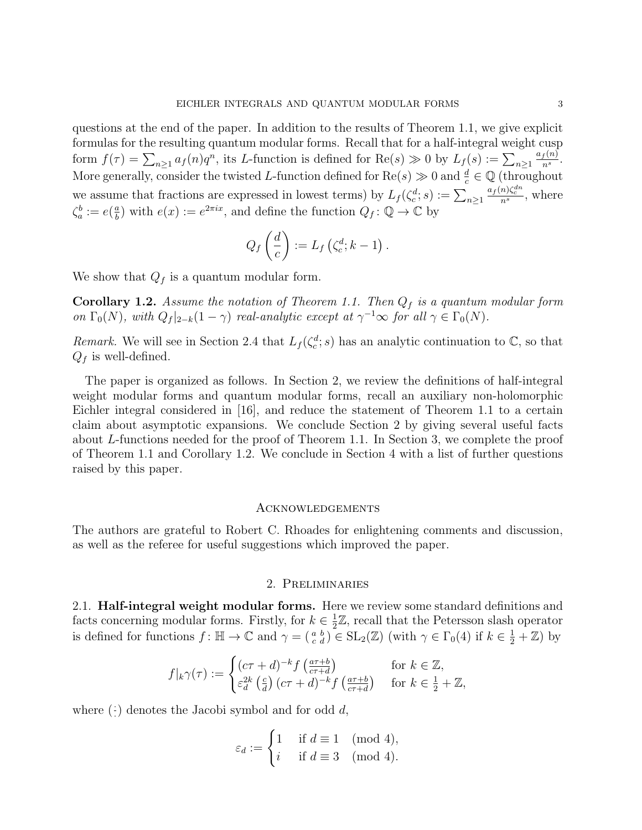questions at the end of the paper. In addition to the results of Theorem 1.1, we give explicit formulas for the resulting quantum modular forms. Recall that for a half-integral weight cusp form  $f(\tau) = \sum_{n\geq 1} a_f(n)q^n$ , its L-function is defined for  $\text{Re}(s) \gg 0$  by  $L_f(s) := \sum_{n\geq 1} a_f(n)q^n$ .  $a_f(n)$  $\frac{f^{(n)}}{n^s}$ . More generally, consider the twisted L-function defined for  $\text{Re}(s) \gg 0$  and  $\frac{d}{c} \in \mathbb{Q}$  (throughout we assume that fractions are expressed in lowest terms) by  $L_f(\zeta_c^d; s) := \sum_{n \geq 1}$  $\frac{a_f(n)\zeta_c^{dn}}{n^s}$ , where  $\zeta_a^b := e(\frac{a}{b})$  $\frac{a}{b}$ ) with  $e(x) := e^{2\pi ix}$ , and define the function  $Q_f : \mathbb{Q} \to \mathbb{C}$  by

$$
Q_f\left(\frac{d}{c}\right) := L_f\left(\zeta_c^d; k-1\right).
$$

We show that  $Q_f$  is a quantum modular form.

**Corollary 1.2.** Assume the notation of Theorem 1.1. Then  $Q_f$  is a quantum modular form on  $\Gamma_0(N)$ , with  $Q_f|_{2-k}(1-\gamma)$  real-analytic except at  $\gamma^{-1}\infty$  for all  $\gamma \in \Gamma_0(N)$ .

Remark. We will see in Section 2.4 that  $L_f(\zeta_c^d; s)$  has an analytic continuation to  $\mathbb{C}$ , so that  $Q_f$  is well-defined.

The paper is organized as follows. In Section 2, we review the definitions of half-integral weight modular forms and quantum modular forms, recall an auxiliary non-holomorphic Eichler integral considered in [16], and reduce the statement of Theorem 1.1 to a certain claim about asymptotic expansions. We conclude Section 2 by giving several useful facts about L-functions needed for the proof of Theorem 1.1. In Section 3, we complete the proof of Theorem 1.1 and Corollary 1.2. We conclude in Section 4 with a list of further questions raised by this paper.

#### Acknowledgements

The authors are grateful to Robert C. Rhoades for enlightening comments and discussion, as well as the referee for useful suggestions which improved the paper.

#### 2. Preliminaries

2.1. **Half-integral weight modular forms.** Here we review some standard definitions and facts concerning modular forms. Firstly, for  $k \in \frac{1}{2}$  $\frac{1}{2}\mathbb{Z}$ , recall that the Petersson slash operator is defined for functions  $f: \mathbb{H} \to \mathbb{C}$  and  $\gamma = \begin{pmatrix} a & b \\ c & d \end{pmatrix} \in SL_2(\mathbb{Z})$  (with  $\gamma \in \Gamma_0(4)$  if  $k \in \frac{1}{2} + \mathbb{Z}$ ) by

$$
f|_{k}\gamma(\tau) := \begin{cases} (c\tau + d)^{-k} f\left(\frac{a\tau + b}{c\tau + d}\right) & \text{for } k \in \mathbb{Z},\\ \varepsilon_d^{2k}\left(\frac{c}{d}\right) (c\tau + d)^{-k} f\left(\frac{a\tau + b}{c\tau + d}\right) & \text{for } k \in \frac{1}{2} + \mathbb{Z}, \end{cases}
$$

where  $(\cdot)$  denotes the Jacobi symbol and for odd  $d,$ 

$$
\varepsilon_d := \begin{cases} 1 & \text{if } d \equiv 1 \pmod{4}, \\ i & \text{if } d \equiv 3 \pmod{4}. \end{cases}
$$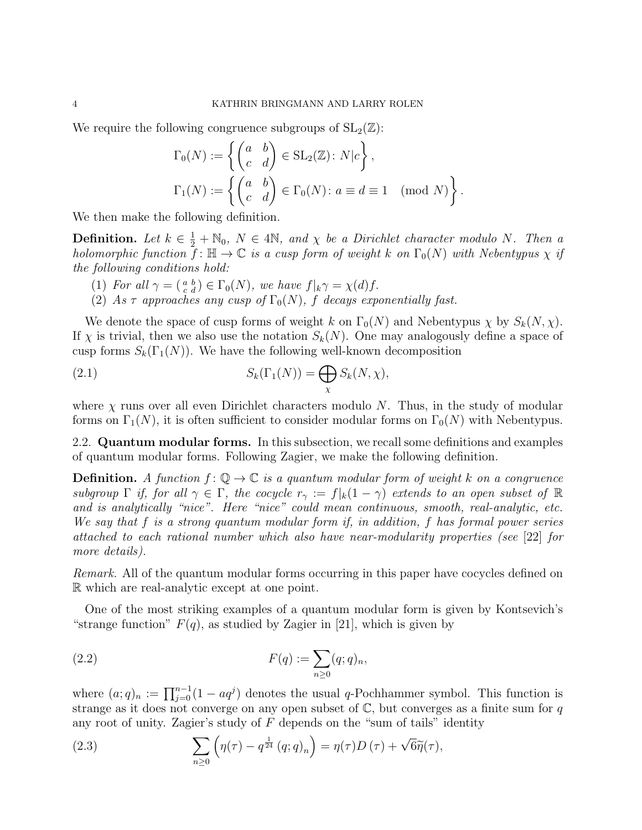We require the following congruence subgroups of  $SL_2(\mathbb{Z})$ :

$$
\Gamma_0(N) := \left\{ \begin{pmatrix} a & b \\ c & d \end{pmatrix} \in SL_2(\mathbb{Z}): N|c \right\},\
$$
  

$$
\Gamma_1(N) := \left\{ \begin{pmatrix} a & b \\ c & d \end{pmatrix} \in \Gamma_0(N): a \equiv d \equiv 1 \pmod{N} \right\}.
$$

We then make the following definition.

**Definition.** Let  $k \in \frac{1}{2} + \mathbb{N}_0$ ,  $N \in 4\mathbb{N}$ , and  $\chi$  be a Dirichlet character modulo N. Then a holomorphic function  $\bar{f}$ :  $\mathbb{H} \to \mathbb{C}$  is a cusp form of weight k on  $\Gamma_0(N)$  with Nebentypus  $\chi$  if the following conditions hold:

- (1) For all  $\gamma = \begin{pmatrix} a & b \\ c & d \end{pmatrix} \in \Gamma_0(N)$ , we have  $f|_k \gamma = \chi(d)f$ .
- (2) As  $\tau$  approaches any cusp of  $\Gamma_0(N)$ , f decays exponentially fast.

We denote the space of cusp forms of weight k on  $\Gamma_0(N)$  and Nebentypus  $\chi$  by  $S_k(N, \chi)$ . If  $\chi$  is trivial, then we also use the notation  $S_k(N)$ . One may analogously define a space of cusp forms  $S_k(\Gamma_1(N))$ . We have the following well-known decomposition

(2.1) 
$$
S_k(\Gamma_1(N)) = \bigoplus_{\chi} S_k(N, \chi),
$$

where  $\chi$  runs over all even Dirichlet characters modulo N. Thus, in the study of modular forms on  $\Gamma_1(N)$ , it is often sufficient to consider modular forms on  $\Gamma_0(N)$  with Nebentypus.

2.2. **Quantum modular forms.** In this subsection, we recall some definitions and examples of quantum modular forms. Following Zagier, we make the following definition.

**Definition.** A function  $f: \mathbb{Q} \to \mathbb{C}$  is a quantum modular form of weight k on a congruence subgroup  $\Gamma$  if, for all  $\gamma \in \Gamma$ , the cocycle  $r_{\gamma} := f|_k(1-\gamma)$  extends to an open subset of  $\mathbb R$ and is analytically "nice". Here "nice" could mean continuous, smooth, real-analytic, etc. We say that f is a strong quantum modular form if, in addition, f has formal power series attached to each rational number which also have near-modularity properties (see [22] for more details).

Remark. All of the quantum modular forms occurring in this paper have cocycles defined on R which are real-analytic except at one point.

One of the most striking examples of a quantum modular form is given by Kontsevich's "strange function"  $F(q)$ , as studied by Zagier in [21], which is given by

(2.2) 
$$
F(q) := \sum_{n\geq 0} (q;q)_n,
$$

where  $(a;q)_n := \prod_{j=0}^{n-1} (1 - aq^j)$  denotes the usual q-Pochhammer symbol. This function is strange as it does not converge on any open subset of  $\mathbb{C}$ , but converges as a finite sum for q any root of unity. Zagier's study of  $F$  depends on the "sum of tails" identity

(2.3) 
$$
\sum_{n\geq 0} \left( \eta(\tau) - q^{\frac{1}{24}} (q;q)_n \right) = \eta(\tau) D(\tau) + \sqrt{6} \widetilde{\eta}(\tau),
$$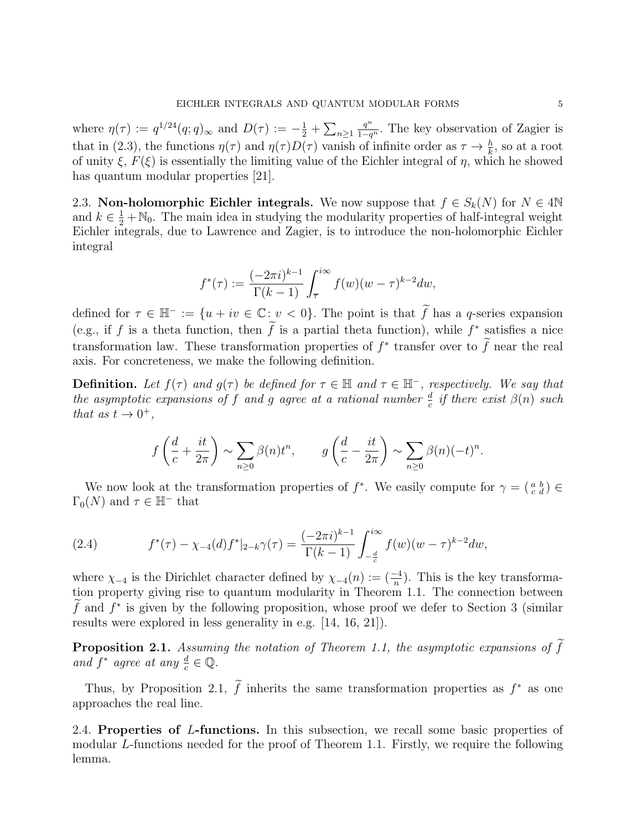where  $\eta(\tau) := q^{1/24}(q; q)_{\infty}$  and  $D(\tau) := -\frac{1}{2} + \sum_{n \ge 1}$  $\frac{q^n}{1-q^n}$ . The key observation of Zagier is that in (2.3), the functions  $\eta(\tau)$  and  $\eta(\tau)D(\tau)$  vanish of infinite order as  $\tau \to \frac{h}{k}$ , so at a root of unity  $\xi$ ,  $F(\xi)$  is essentially the limiting value of the Eichler integral of  $\eta$ , which he showed has quantum modular properties [21].

2.3. Non-holomorphic Eichler integrals. We now suppose that  $f \in S_k(N)$  for  $N \in 4\mathbb{N}$ and  $k \in \frac{1}{2} + \mathbb{N}_0$ . The main idea in studying the modularity properties of half-integral weight Eichler integrals, due to Lawrence and Zagier, is to introduce the non-holomorphic Eichler integral

$$
f^{*}(\tau) := \frac{(-2\pi i)^{k-1}}{\Gamma(k-1)} \int_{\overline{\tau}}^{i\infty} f(w)(w - \tau)^{k-2} dw,
$$

defined for  $\tau \in \mathbb{H}^- := \{u + iv \in \mathbb{C} : v < 0\}$ . The point is that  $\tilde{f}$  has a q-series expansion (e.g., if f is a theta function, then f is a partial theta function), while  $f^*$  satisfies a nice transformation law. These transformation properties of  $f^*$  transfer over to  $\tilde{f}$  near the real axis. For concreteness, we make the following definition.

**Definition.** Let  $f(\tau)$  and  $g(\tau)$  be defined for  $\tau \in \mathbb{H}$  and  $\tau \in \mathbb{H}^-$ , respectively. We say that the asymptotic expansions of f and g agree at a rational number  $\frac{d}{c}$  if there exist  $\beta(n)$  such that as  $t \to 0^+,$ 

$$
f\left(\frac{d}{c} + \frac{it}{2\pi}\right) \sim \sum_{n\geq 0} \beta(n)t^n
$$
,  $g\left(\frac{d}{c} - \frac{it}{2\pi}\right) \sim \sum_{n\geq 0} \beta(n)(-t)^n$ .

We now look at the transformation properties of  $f^*$ . We easily compute for  $\gamma = \begin{pmatrix} a & b \\ c & d \end{pmatrix} \in$  $\Gamma_0(N)$  and  $\tau \in \mathbb{H}^-$  that

(2.4) 
$$
f^{*}(\tau) - \chi_{-4}(d)f^{*}|_{2-k}\gamma(\tau) = \frac{(-2\pi i)^{k-1}}{\Gamma(k-1)} \int_{-\frac{d}{c}}^{i\infty} f(w)(w-\tau)^{k-2} dw,
$$

where  $\chi_{-4}$  is the Dirichlet character defined by  $\chi_{-4}(n) := \left(\frac{-4}{n}\right)$ . This is the key transformation property giving rise to quantum modularity in Theorem 1.1. The connection between f and  $f^*$  is given by the following proposition, whose proof we defer to Section 3 (similar) results were explored in less generality in e.g. [14, 16, 21]).

**Proposition 2.1.** Assuming the notation of Theorem 1.1, the asymptotic expansions of  $\widetilde{f}$ and  $f^*$  agree at any  $\frac{d}{c} \in \mathbb{Q}$ .

Thus, by Proposition 2.1,  $\tilde{f}$  inherits the same transformation properties as  $f^*$  as one approaches the real line.

2.4. Properties of L-functions. In this subsection, we recall some basic properties of modular L-functions needed for the proof of Theorem 1.1. Firstly, we require the following lemma.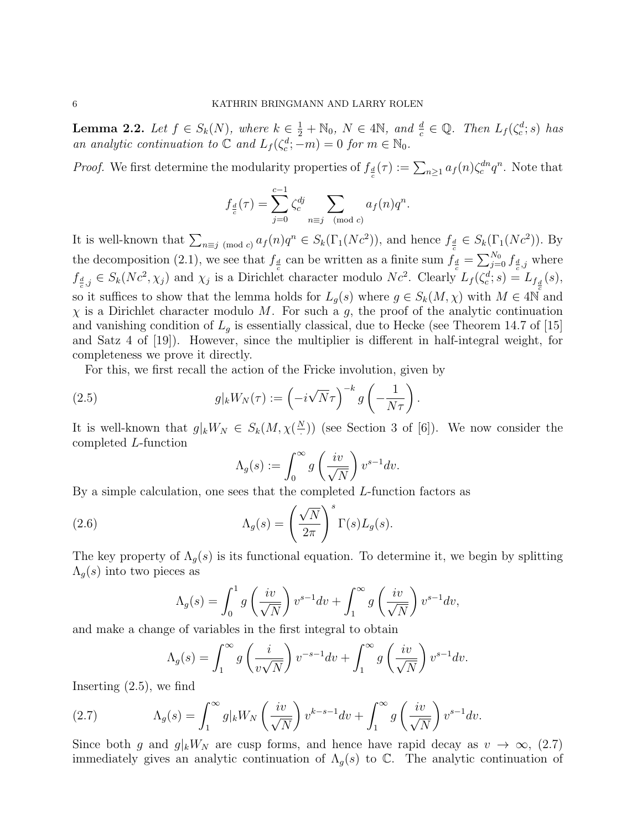**Lemma 2.2.** Let  $f \in S_k(N)$ , where  $k \in \frac{1}{2} + \mathbb{N}_0$ ,  $N \in 4\mathbb{N}$ , and  $\frac{d}{c} \in \mathbb{Q}$ . Then  $L_f(\zeta_c^d; s)$  has an analytic continuation to  $\mathbb C$  and  $L_f(\zeta_c^d; -m) = 0$  for  $m \in \mathbb N_0$ .

*Proof.* We first determine the modularity properties of  $f_{\frac{d}{c}}(\tau) := \sum_{n\geq 1} a_f(n) \zeta_c^{dn} q^n$ . Note that

$$
f_{\frac{d}{c}}(\tau) = \sum_{j=0}^{c-1} \zeta_c^{dj} \sum_{n \equiv j \pmod{c}} a_f(n) q^n.
$$

It is well-known that  $\sum_{n\equiv j\pmod{c}} a_f(n)q^n \in S_k(\Gamma_1(Nc^2))$ , and hence  $f_{\frac{d}{c}} \in S_k(\Gamma_1(Nc^2))$ . By the decomposition (2.1), we see that  $f_{\frac{d}{c}}$  can be written as a finite sum  $f_{\frac{d}{c}} = \sum_{j=0}^{N_0} f_{\frac{d}{c},j}^j$  where  $f_{\frac{d}{c},j} \in S_k(Nc^2, \chi_j)$  and  $\chi_j$  is a Dirichlet character modulo  $Nc^2$ . Clearly  $L_f(\zeta_c^d; s) = L_{f_{\frac{d}{c}}}(s)$ , so it suffices to show that the lemma holds for  $L_g(s)$  where  $g \in S_k(M, \chi)$  with  $M \in 4\overline{\mathbb{N}}$  and  $\chi$  is a Dirichlet character modulo M. For such a g, the proof of the analytic continuation and vanishing condition of  $L_q$  is essentially classical, due to Hecke (see Theorem 14.7 of [15] and Satz 4 of [19]). However, since the multiplier is different in half-integral weight, for completeness we prove it directly.

For this, we first recall the action of the Fricke involution, given by

(2.5) 
$$
g|_k W_N(\tau) := \left(-i\sqrt{N}\tau\right)^{-k} g\left(-\frac{1}{N\tau}\right).
$$

It is well-known that  $g|_kW_N \in S_k(M, \chi(\frac{N}{N}))$  $\binom{V}{r}$ ) (see Section 3 of [6]). We now consider the completed L-function

$$
\Lambda_g(s) := \int_0^\infty g\left(\frac{iv}{\sqrt{N}}\right) v^{s-1} dv.
$$

By a simple calculation, one sees that the completed  $L$ -function factors as

(2.6) 
$$
\Lambda_g(s) = \left(\frac{\sqrt{N}}{2\pi}\right)^s \Gamma(s) L_g(s).
$$

The key property of  $\Lambda_q(s)$  is its functional equation. To determine it, we begin by splitting  $\Lambda_q(s)$  into two pieces as

$$
\Lambda_g(s) = \int_0^1 g\left(\frac{iv}{\sqrt{N}}\right) v^{s-1} dv + \int_1^\infty g\left(\frac{iv}{\sqrt{N}}\right) v^{s-1} dv,
$$

and make a change of variables in the first integral to obtain

$$
\Lambda_g(s) = \int_1^\infty g\left(\frac{i}{v\sqrt{N}}\right)v^{-s-1}dv + \int_1^\infty g\left(\frac{iv}{\sqrt{N}}\right)v^{s-1}dv.
$$

Inserting (2.5), we find

(2.7) 
$$
\Lambda_g(s) = \int_1^\infty g|_k W_N\left(\frac{iv}{\sqrt{N}}\right)v^{k-s-1}dv + \int_1^\infty g\left(\frac{iv}{\sqrt{N}}\right)v^{s-1}dv.
$$

Since both g and  $g|_kW_N$  are cusp forms, and hence have rapid decay as  $v \to \infty$ , (2.7) immediately gives an analytic continuation of  $\Lambda_g(s)$  to  $\mathbb{C}$ . The analytic continuation of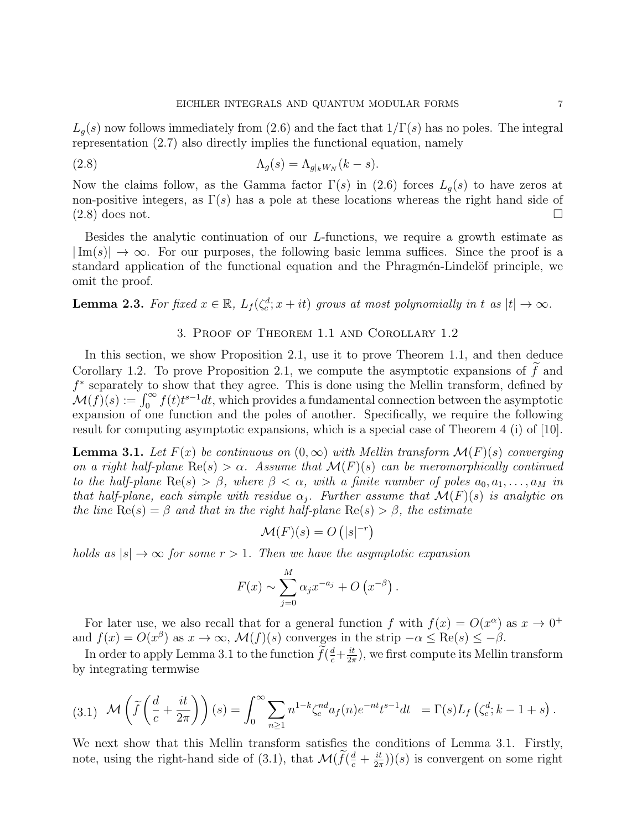$L_q(s)$  now follows immediately from (2.6) and the fact that  $1/\Gamma(s)$  has no poles. The integral representation (2.7) also directly implies the functional equation, namely

(2.8) 
$$
\Lambda_g(s) = \Lambda_{g|_k W_N}(k-s).
$$

Now the claims follow, as the Gamma factor  $\Gamma(s)$  in (2.6) forces  $L_q(s)$  to have zeros at non-positive integers, as  $\Gamma(s)$  has a pole at these locations whereas the right hand side of  $(2.8)$  does not.

Besides the analytic continuation of our L-functions, we require a growth estimate as  $|\text{Im}(s)| \to \infty$ . For our purposes, the following basic lemma suffices. Since the proof is a standard application of the functional equation and the Phragmen-Lindelöf principle, we omit the proof.

**Lemma 2.3.** For fixed  $x \in \mathbb{R}$ ,  $L_f(\zeta_c^d; x + it)$  grows at most polynomially in t as  $|t| \to \infty$ .

## 3. Proof of Theorem 1.1 and Corollary 1.2

In this section, we show Proposition 2.1, use it to prove Theorem 1.1, and then deduce Corollary 1.2. To prove Proposition 2.1, we compute the asymptotic expansions of  $f$  and f ∗ separately to show that they agree. This is done using the Mellin transform, defined by  $\mathcal{M}(f)(s) := \int_0^\infty f(t)t^{s-1}dt$ , which provides a fundamental connection between the asymptotic expansion of one function and the poles of another. Specifically, we require the following result for computing asymptotic expansions, which is a special case of Theorem 4 (i) of [10].

**Lemma 3.1.** Let  $F(x)$  be continuous on  $(0, \infty)$  with Mellin transform  $\mathcal{M}(F)(s)$  converging on a right half-plane  $\text{Re}(s) > \alpha$ . Assume that  $\mathcal{M}(F)(s)$  can be meromorphically continued to the half-plane  $\text{Re}(s) > \beta$ , where  $\beta < \alpha$ , with a finite number of poles  $a_0, a_1, \ldots, a_M$  in that half-plane, each simple with residue  $\alpha_j$ . Further assume that  $\mathcal{M}(F)(s)$  is analytic on the line  $\text{Re}(s) = \beta$  and that in the right half-plane  $\text{Re}(s) > \beta$ , the estimate

$$
\mathcal{M}(F)(s) = O(|s|^{-r})
$$

holds as  $|s| \to \infty$  for some  $r > 1$ . Then we have the asymptotic expansion

$$
F(x) \sim \sum_{j=0}^{M} \alpha_j x^{-a_j} + O\left(x^{-\beta}\right).
$$

For later use, we also recall that for a general function f with  $f(x) = O(x^{\alpha})$  as  $x \to 0^+$ and  $f(x) = O(x^{\beta})$  as  $x \to \infty$ ,  $\mathcal{M}(f)(s)$  converges in the strip  $-\alpha \leq \text{Re}(s) \leq -\beta$ .

In order to apply Lemma 3.1 to the function  $\tilde{f}(\frac{d}{c} + \frac{it}{2\pi})$  $\frac{it}{2\pi}$ , we first compute its Mellin transform by integrating termwise

$$
(3.1) \quad \mathcal{M}\left(\widetilde{f}\left(\frac{d}{c}+\frac{it}{2\pi}\right)\right)(s) = \int_0^\infty \sum_{n\geq 1} n^{1-k} \zeta_c^{nd} a_f(n) e^{-nt} t^{s-1} dt = \Gamma(s) L_f\left(\zeta_c^d; k-1+s\right).
$$

We next show that this Mellin transform satisfies the conditions of Lemma 3.1. Firstly, note, using the right-hand side of (3.1), that  $\mathcal{M}(\widetilde{f}(\frac{d}{c} + \frac{it}{2n}))$  $(\frac{it}{2\pi})(s)$  is convergent on some right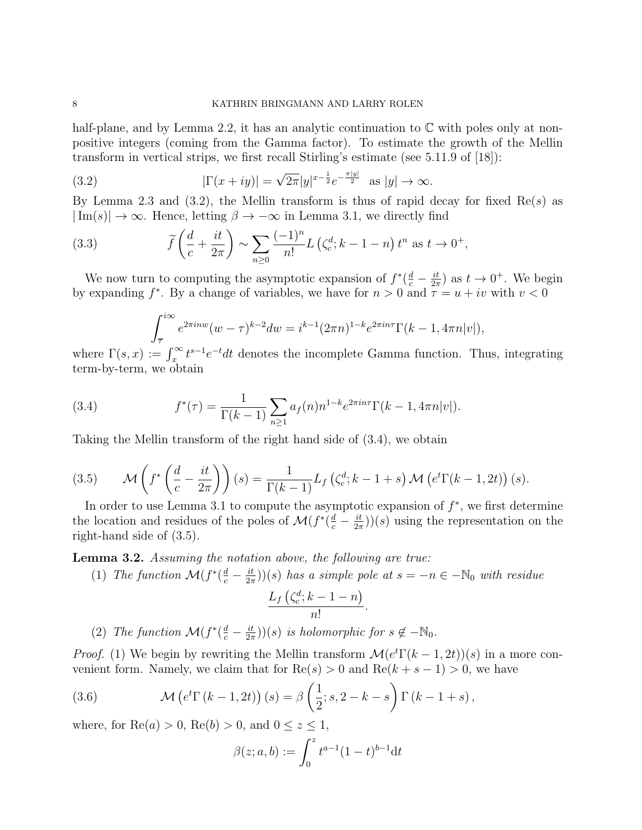half-plane, and by Lemma 2.2, it has an analytic continuation to  $\mathbb C$  with poles only at nonpositive integers (coming from the Gamma factor). To estimate the growth of the Mellin transform in vertical strips, we first recall Stirling's estimate (see 5.11.9 of [18]):

(3.2) 
$$
|\Gamma(x+iy)| = \sqrt{2\pi}|y|^{x-\frac{1}{2}}e^{-\frac{\pi|y|}{2}} \text{ as } |y| \to \infty.
$$

By Lemma 2.3 and (3.2), the Mellin transform is thus of rapid decay for fixed  $\text{Re}(s)$  as  $|\text{Im}(s)| \to \infty$ . Hence, letting  $\beta \to -\infty$  in Lemma 3.1, we directly find

(3.3) 
$$
\widetilde{f}\left(\frac{d}{c} + \frac{it}{2\pi}\right) \sim \sum_{n\geq 0} \frac{(-1)^n}{n!} L\left(\zeta_c^d; k-1-n\right) t^n \text{ as } t \to 0^+,
$$

We now turn to computing the asymptotic expansion of  $f^*(\frac{d}{c} - \frac{it}{2\pi})$  $\frac{it}{2\pi}$ ) as  $t \to 0^+$ . We begin by expanding  $f^*$ . By a change of variables, we have for  $n > 0$  and  $\overline{\tau} = u + iv$  with  $v < 0$ 

$$
\int_{\overline{\tau}}^{i\infty} e^{2\pi i n w} (w - \tau)^{k-2} dw = i^{k-1} (2\pi n)^{1-k} e^{2\pi i n \tau} \Gamma(k-1, 4\pi n |v|),
$$

where  $\Gamma(s,x) := \int_x^{\infty} t^{s-1} e^{-t} dt$  denotes the incomplete Gamma function. Thus, integrating term-by-term, we obtain

(3.4) 
$$
f^{*}(\tau) = \frac{1}{\Gamma(k-1)} \sum_{n \geq 1} a_{f}(n) n^{1-k} e^{2\pi i n \tau} \Gamma(k-1, 4\pi n |v|).
$$

Taking the Mellin transform of the right hand side of (3.4), we obtain

(3.5) 
$$
\mathcal{M}\left(f^*\left(\frac{d}{c}-\frac{it}{2\pi}\right)\right)(s) = \frac{1}{\Gamma(k-1)}L_f\left(\zeta_c^d;k-1+s\right)\mathcal{M}\left(e^t\Gamma(k-1,2t)\right)(s).
$$

In order to use Lemma 3.1 to compute the asymptotic expansion of  $f^*$ , we first determine the location and residues of the poles of  $\mathcal{M}(f^*(\frac{d}{c} - \frac{it}{2\pi}))$  $(\frac{it}{2\pi})(s)$  using the representation on the right-hand side of (3.5).

**Lemma 3.2.** Assuming the notation above, the following are true:

(1) The function 
$$
\mathcal{M}(f^*(\frac{d}{c}-\frac{it}{2\pi}))(s)
$$
 has a simple pole at  $s=-n \in -\mathbb{N}_0$  with residue

$$
\frac{L_f\left(\zeta_c^d; k-1-n\right)}{n!}.
$$

(2) The function  $\mathcal{M}(f^*(\frac{d}{c} - \frac{it}{2\pi}))$  $\frac{it}{2\pi}$ ))(s) is holomorphic for  $s \notin -\mathbb{N}_0$ .

*Proof.* (1) We begin by rewriting the Mellin transform  $\mathcal{M}(e^t \Gamma(k-1, 2t))(s)$  in a more convenient form. Namely, we claim that for  $\text{Re}(s) > 0$  and  $\text{Re}(k + s - 1) > 0$ , we have

(3.6) 
$$
\mathcal{M}\left(e^{t}\Gamma\left(k-1,2t\right)\right)(s) = \beta\left(\frac{1}{2};s,2-k-s\right)\Gamma\left(k-1+s\right),
$$

where, for  $\text{Re}(a) > 0$ ,  $\text{Re}(b) > 0$ , and  $0 \leq z \leq 1$ ,

$$
\beta(z;a,b) := \int_0^z t^{a-1} (1-t)^{b-1} dt
$$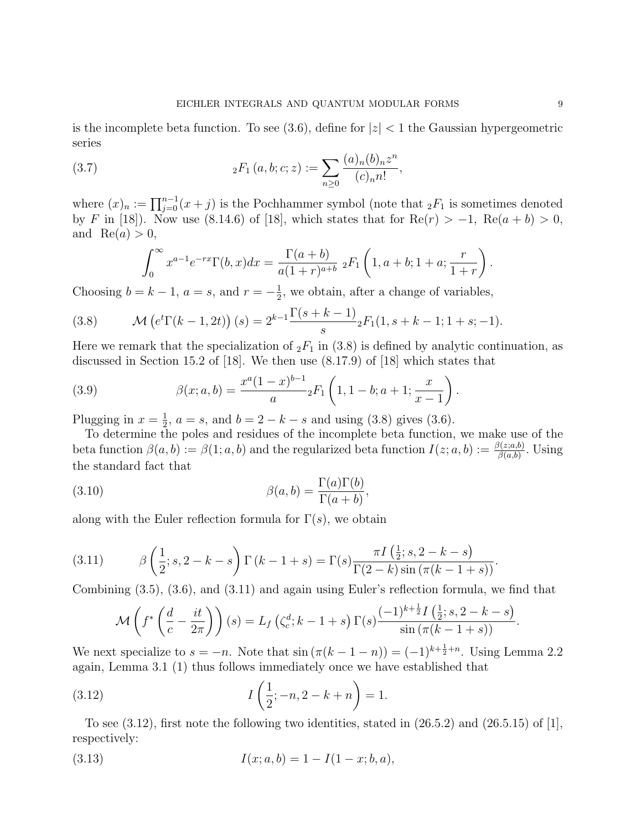is the incomplete beta function. To see (3.6), define for  $|z| < 1$  the Gaussian hypergeometric series

(3.7) 
$$
{}_2F_1(a,b;c;z) := \sum_{n\geq 0} \frac{(a)_n (b)_n z^n}{(c)_n n!},
$$

where  $(x)_n := \prod_{j=0}^{n-1} (x+j)$  is the Pochhammer symbol (note that  ${}_2F_1$  is sometimes denoted by F in [18]). Now use (8.14.6) of [18], which states that for  $\text{Re}(r) > -1$ ,  $\text{Re}(a + b) > 0$ , and  $\text{Re}(a) > 0$ ,

$$
\int_0^\infty x^{a-1} e^{-rx} \Gamma(b, x) dx = \frac{\Gamma(a+b)}{a(1+r)^{a+b}} \; _2F_1\left(1, a+b; 1+a; \frac{r}{1+r}\right).
$$

Choosing  $b = k - 1$ ,  $a = s$ , and  $r = -\frac{1}{2}$  $\frac{1}{2}$ , we obtain, after a change of variables,

(3.8) 
$$
\mathcal{M}\left(e^{t}\Gamma(k-1,2t)\right)(s) = 2^{k-1}\frac{\Gamma(s+k-1)}{s}{}_{2}F_{1}(1,s+k-1;1+s;-1).
$$

Here we remark that the specialization of  $_2F_1$  in (3.8) is defined by analytic continuation, as discussed in Section 15.2 of [18]. We then use (8.17.9) of [18] which states that

(3.9) 
$$
\beta(x;a,b) = \frac{x^a(1-x)^{b-1}}{a} {}_2F_1\left(1,1-b;a+1;\frac{x}{x-1}\right).
$$

Plugging in  $x=\frac{1}{2}$  $\frac{1}{2}$ ,  $a = s$ , and  $b = 2 - k - s$  and using (3.8) gives (3.6).

To determine the poles and residues of the incomplete beta function, we make use of the beta function  $\beta(a, b) := \beta(1; a, b)$  and the regularized beta function  $I(z; a, b) := \frac{\beta(z; a, b)}{\beta(a, b)}$ . Using the standard fact that

(3.10) 
$$
\beta(a,b) = \frac{\Gamma(a)\Gamma(b)}{\Gamma(a+b)},
$$

along with the Euler reflection formula for  $\Gamma(s)$ , we obtain

(3.11) 
$$
\beta\left(\frac{1}{2};s,2-k-s\right)\Gamma(k-1+s) = \Gamma(s)\frac{\pi I\left(\frac{1}{2};s,2-k-s\right)}{\Gamma(2-k)\sin\left(\pi(k-1+s)\right)}.
$$

Combining (3.5), (3.6), and (3.11) and again using Euler's reflection formula, we find that

$$
\mathcal{M}\left(f^*\left(\frac{d}{c}-\frac{it}{2\pi}\right)\right)(s) = L_f\left(\zeta_c^d; k-1+s\right)\Gamma(s)\frac{(-1)^{k+\frac{1}{2}}I\left(\frac{1}{2}; s, 2-k-s\right)}{\sin\left(\pi(k-1+s)\right)}.
$$

We next specialize to  $s = -n$ . Note that  $\sin(\pi(k-1-n)) = (-1)^{k+\frac{1}{2}+n}$ . Using Lemma 2.2 again, Lemma 3.1 (1) thus follows immediately once we have established that

(3.12) 
$$
I\left(\frac{1}{2}; -n, 2-k+n\right) = 1.
$$

To see  $(3.12)$ , first note the following two identities, stated in  $(26.5.2)$  and  $(26.5.15)$  of  $|1|$ , respectively:

(3.13) 
$$
I(x;a,b) = 1 - I(1-x;b,a),
$$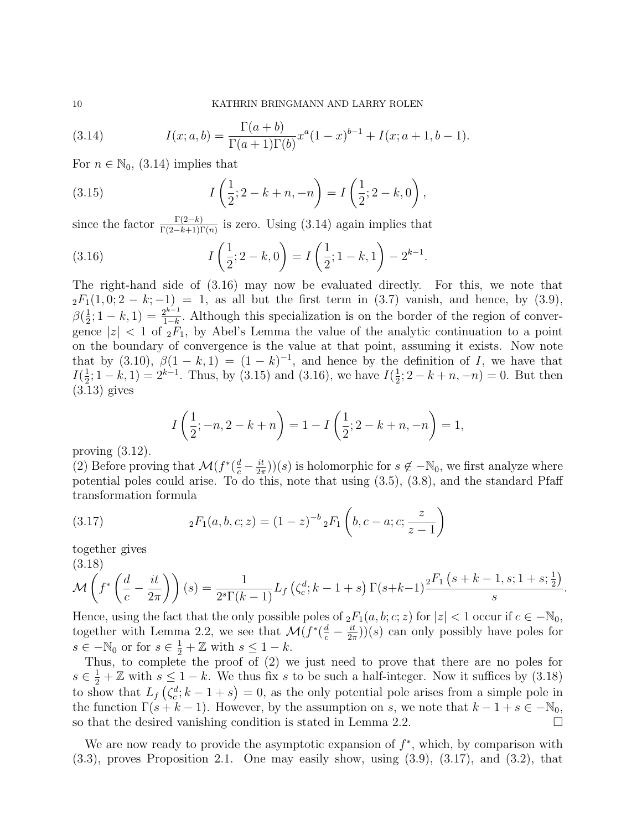(3.14) 
$$
I(x;a,b) = \frac{\Gamma(a+b)}{\Gamma(a+1)\Gamma(b)} x^a (1-x)^{b-1} + I(x;a+1,b-1).
$$

For  $n \in \mathbb{N}_0$ , (3.14) implies that

(3.15) 
$$
I\left(\frac{1}{2}; 2 - k + n, -n\right) = I\left(\frac{1}{2}; 2 - k, 0\right),
$$

since the factor  $\frac{\Gamma(2-k)}{\Gamma(2-k+1)\Gamma(n)}$  is zero. Using (3.14) again implies that

(3.16) 
$$
I\left(\frac{1}{2};2-k,0\right) = I\left(\frac{1}{2};1-k,1\right) - 2^{k-1}.
$$

The right-hand side of (3.16) may now be evaluated directly. For this, we note that  $2F_1(1,0; 2-k; -1) = 1$ , as all but the first term in  $(3.7)$  vanish, and hence, by  $(3.9)$ ,  $\beta(\frac{1}{2})$  $\frac{1}{2}$ ; 1 – k, 1) =  $\frac{2^{k-1}}{1-k}$  $\frac{2^{k-1}}{1-k}$ . Although this specialization is on the border of the region of convergence  $|z|$  < 1 of  ${}_2F_1$ , by Abel's Lemma the value of the analytic continuation to a point on the boundary of convergence is the value at that point, assuming it exists. Now note that by (3.10),  $\beta(1-k,1) = (1-k)^{-1}$ , and hence by the definition of I, we have that  $I(\frac{1}{2})$  $\frac{1}{2}$ ; 1 – k, 1) =  $2^{k-1}$ . Thus, by (3.15) and (3.16), we have  $I(\frac{1}{2})$  $\frac{1}{2}$ ; 2 – k + n, -n) = 0. But then (3.13) gives

$$
I\left(\frac{1}{2}; -n, 2-k+n\right) = 1 - I\left(\frac{1}{2}; 2-k+n, -n\right) = 1,
$$

proving  $(3.12)$ .

(2) Before proving that  $\mathcal{M}(f^*(\frac{d}{c} - \frac{it}{2n}))$  $\frac{i}{2\pi}$ ))(s) is holomorphic for  $s \notin -\mathbb{N}_0$ , we first analyze where potential poles could arise. To do this, note that using (3.5), (3.8), and the standard Pfaff transformation formula

(3.17) 
$$
{}_2F_1(a,b,c;z) = (1-z)^{-b} {}_2F_1\left(b,c-a;c;\frac{z}{z-1}\right)
$$

together gives

$$
(3.18)
$$

$$
\mathcal{M}\left(f^*\left(\frac{d}{c}-\frac{it}{2\pi}\right)\right)(s) = \frac{1}{2^s \Gamma(k-1)} L_f\left(\zeta_c^d; k-1+s\right) \Gamma(s+k-1) \frac{{}_2F_1\left(s+k-1, s; 1+s; \frac{1}{2}\right)}{s}
$$

.

Hence, using the fact that the only possible poles of  ${}_2F_1(a, b; c; z)$  for  $|z| < 1$  occur if  $c \in -\mathbb{N}_0$ , together with Lemma 2.2, we see that  $\mathcal{M}(f^*(\frac{d}{c} - \frac{it}{2\pi}))$  $\frac{u}{2\pi}$ ))(s) can only possibly have poles for  $s \in -\mathbb{N}_0$  or for  $s \in \frac{1}{2} + \mathbb{Z}$  with  $s \leq 1 - k$ .

Thus, to complete the proof of (2) we just need to prove that there are no poles for  $s \in \frac{1}{2} + \mathbb{Z}$  with  $s \leq 1 - k$ . We thus fix s to be such a half-integer. Now it suffices by (3.18) to show that  $L_f(\zeta_c^d; k-1+s) = 0$ , as the only potential pole arises from a simple pole in the function  $\Gamma(s + k - 1)$ . However, by the assumption on s, we note that  $k - 1 + s \in \mathbb{N}_0$ , so that the desired vanishing condition is stated in Lemma 2.2.  $\Box$ 

We are now ready to provide the asymptotic expansion of  $f^*$ , which, by comparison with (3.3), proves Proposition 2.1. One may easily show, using (3.9), (3.17), and (3.2), that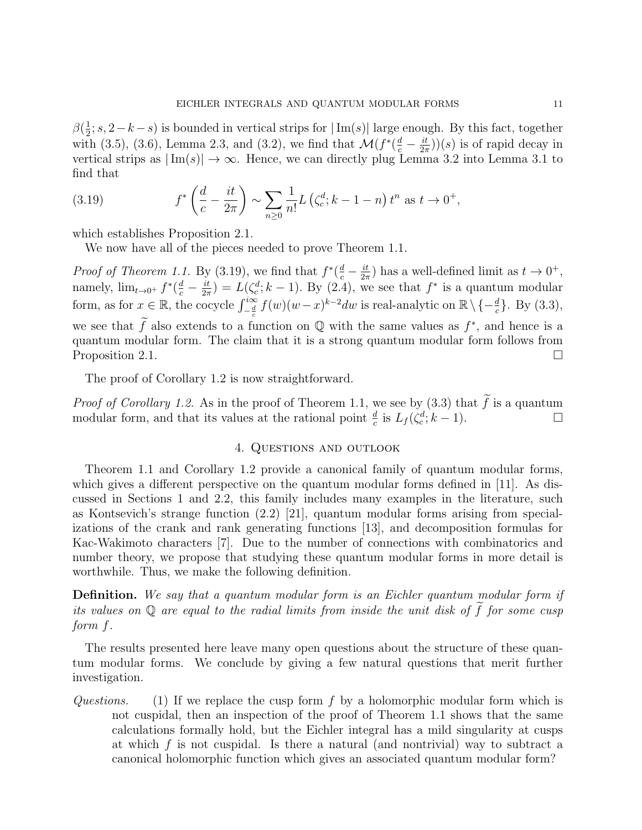$\beta(\frac{1}{2})$  $\frac{1}{2}$ ; s, 2 – k – s) is bounded in vertical strips for  $|\text{Im}(s)|$  large enough. By this fact, together with (3.5), (3.6), Lemma 2.3, and (3.2), we find that  $\mathcal{M}(f^*(\frac{d}{c} - \frac{it}{2\pi}))$  $(\frac{it}{2\pi})(s)$  is of rapid decay in vertical strips as  $|\text{Im}(s)| \to \infty$ . Hence, we can directly plug Lemma 3.2 into Lemma 3.1 to find that

(3.19) 
$$
f^*\left(\frac{d}{c} - \frac{it}{2\pi}\right) \sim \sum_{n\geq 0} \frac{1}{n!} L\left(\zeta_c^d; k-1-n\right) t^n \text{ as } t \to 0^+,
$$

which establishes Proposition 2.1.

We now have all of the pieces needed to prove Theorem 1.1.

*Proof of Theorem 1.1.* By (3.19), we find that  $f^*(\frac{d}{c} - \frac{it}{2\pi})$  $\frac{it}{2\pi}$ ) has a well-defined limit as  $t \to 0^+$ , namely,  $\lim_{t\to 0^+} f^*(\frac{d}{c} - \frac{it}{2\pi})$  $\frac{it}{2\pi}$ ) =  $L(\zeta_c^d; k-1)$ . By (2.4), we see that  $f^*$  is a quantum modular form, as for  $x \in \mathbb{R}$ , the cocycle  $\int_{-\frac{d}{c}}^{\infty} f(w)(w-x)^{k-2} dw$  is real-analytic on  $\mathbb{R} \setminus \{-\frac{d}{c}\}\.$  By (3.3), we see that  $\tilde{f}$  also extends to a function on  $\mathbb Q$  with the same values as  $f^*$ , and hence is a quantum modular form. The claim that it is a strong quantum modular form follows from Proposition 2.1.  $\Box$ 

The proof of Corollary 1.2 is now straightforward.

*Proof of Corollary 1.2.* As in the proof of Theorem 1.1, we see by  $(3.3)$  that f is a quantum modular form, and that its values at the rational point  $\frac{d}{c}$  is  $L_f(\zeta_c^d; k-1)$ .

### 4. Questions and outlook

Theorem 1.1 and Corollary 1.2 provide a canonical family of quantum modular forms, which gives a different perspective on the quantum modular forms defined in [11]. As discussed in Sections 1 and 2.2, this family includes many examples in the literature, such as Kontsevich's strange function (2.2) [21], quantum modular forms arising from specializations of the crank and rank generating functions [13], and decomposition formulas for Kac-Wakimoto characters [7]. Due to the number of connections with combinatorics and number theory, we propose that studying these quantum modular forms in more detail is worthwhile. Thus, we make the following definition.

Definition. We say that a quantum modular form is an Eichler quantum modular form if its values on  $\mathbb Q$  are equal to the radial limits from inside the unit disk of f for some cusp form f.

The results presented here leave many open questions about the structure of these quantum modular forms. We conclude by giving a few natural questions that merit further investigation.

Questions. (1) If we replace the cusp form f by a holomorphic modular form which is not cuspidal, then an inspection of the proof of Theorem 1.1 shows that the same calculations formally hold, but the Eichler integral has a mild singularity at cusps at which  $f$  is not cuspidal. Is there a natural (and nontrivial) way to subtract a canonical holomorphic function which gives an associated quantum modular form?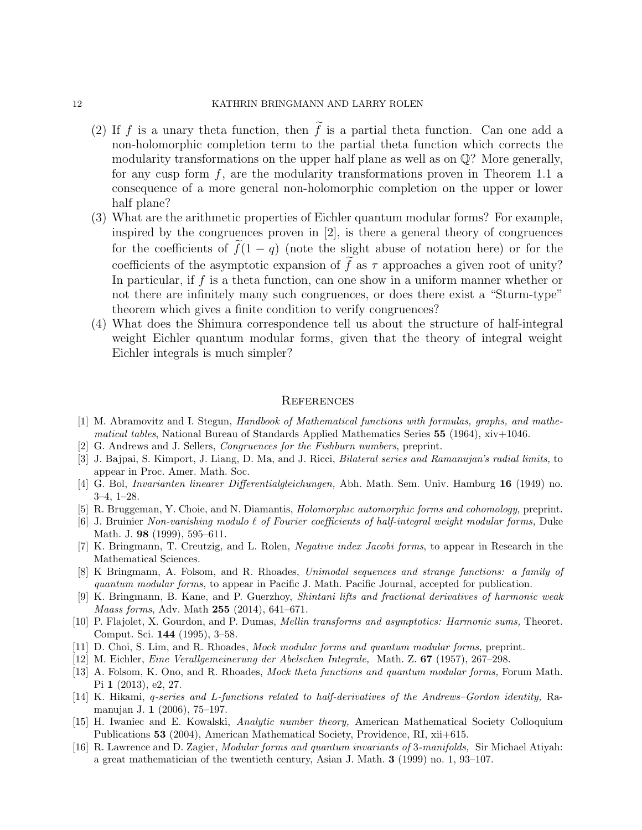#### 12 KATHRIN BRINGMANN AND LARRY ROLEN

- (2) If f is a unary theta function, then  $\tilde{f}$  is a partial theta function. Can one add a non-holomorphic completion term to the partial theta function which corrects the modularity transformations on the upper half plane as well as on  $\mathbb{Q}$ ? More generally, for any cusp form  $f$ , are the modularity transformations proven in Theorem 1.1 a consequence of a more general non-holomorphic completion on the upper or lower half plane?
- (3) What are the arithmetic properties of Eichler quantum modular forms? For example, inspired by the congruences proven in [2], is there a general theory of congruences for the coefficients of  $\tilde{f}(1 - q)$  (note the slight abuse of notation here) or for the coefficients of the asymptotic expansion of f as  $\tau$  approaches a given root of unity? In particular, if  $f$  is a theta function, can one show in a uniform manner whether or not there are infinitely many such congruences, or does there exist a "Sturm-type" theorem which gives a finite condition to verify congruences?
- (4) What does the Shimura correspondence tell us about the structure of half-integral weight Eichler quantum modular forms, given that the theory of integral weight Eichler integrals is much simpler?

#### **REFERENCES**

- [1] M. Abramovitz and I. Stegun, Handbook of Mathematical functions with formulas, graphs, and mathematical tables, National Bureau of Standards Applied Mathematics Series  $55$  (1964), xiv+1046.
- [2] G. Andrews and J. Sellers, Congruences for the Fishburn numbers, preprint.
- [3] J. Bajpai, S. Kimport, J. Liang, D. Ma, and J. Ricci, Bilateral series and Ramanujan's radial limits, to appear in Proc. Amer. Math. Soc.
- [4] G. Bol, Invarianten linearer Differentialgleichungen, Abh. Math. Sem. Univ. Hamburg 16 (1949) no. 3–4, 1–28.
- [5] R. Bruggeman, Y. Choie, and N. Diamantis, Holomorphic automorphic forms and cohomology, preprint.
- [6] J. Bruinier Non-vanishing modulo  $\ell$  of Fourier coefficients of half-integral weight modular forms, Duke Math. J. 98 (1999), 595–611.
- [7] K. Bringmann, T. Creutzig, and L. Rolen, Negative index Jacobi forms, to appear in Research in the Mathematical Sciences.
- [8] K Bringmann, A. Folsom, and R. Rhoades, Unimodal sequences and strange functions: a family of quantum modular forms, to appear in Pacific J. Math. Pacific Journal, accepted for publication.
- K. Bringmann, B. Kane, and P. Guerzhoy, *Shintani lifts and fractional derivatives of harmonic weak* Maass forms, Adv. Math 255 (2014), 641–671.
- [10] P. Flajolet, X. Gourdon, and P. Dumas, Mellin transforms and asymptotics: Harmonic sums, Theoret. Comput. Sci. 144 (1995), 3–58.
- [11] D. Choi, S. Lim, and R. Rhoades, Mock modular forms and quantum modular forms, preprint.
- [12] M. Eichler, Eine Verallgemeinerung der Abelschen Integrale, Math. Z. 67 (1957), 267–298.
- [13] A. Folsom, K. Ono, and R. Rhoades, Mock theta functions and quantum modular forms, Forum Math. Pi 1 (2013), e2, 27.
- [14] K. Hikami, q-series and L-functions related to half-derivatives of the Andrews–Gordon identity, Ramanujan J. 1 (2006), 75–197.
- [15] H. Iwaniec and E. Kowalski, Analytic number theory, American Mathematical Society Colloquium Publications 53 (2004), American Mathematical Society, Providence, RI, xii+615.
- [16] R. Lawrence and D. Zagier, Modular forms and quantum invariants of 3-manifolds, Sir Michael Atiyah: a great mathematician of the twentieth century, Asian J. Math. 3 (1999) no. 1, 93–107.